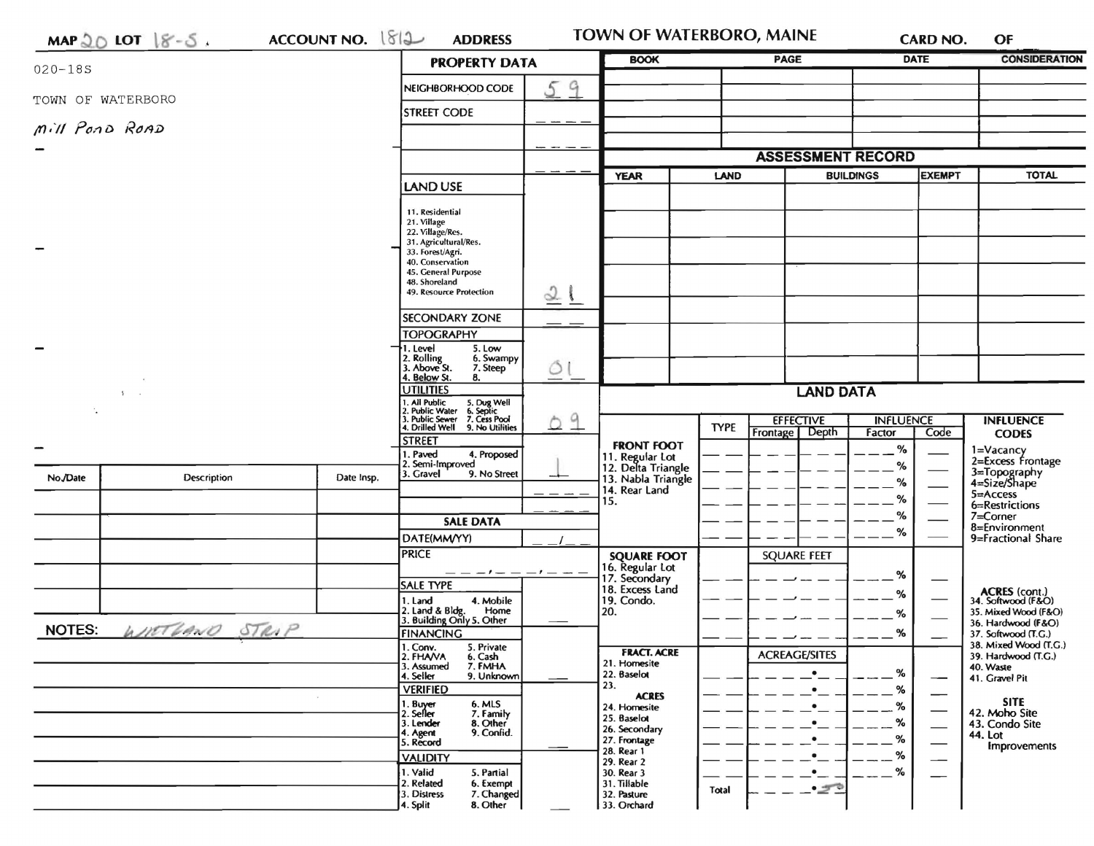|               | $MAP 20$ LOT $8-5$ | ACCOUNT NO. 1812                                              | <b>ADDRESS</b>                                                                                                            |             | TOWN OF WATERBORO, MAINE              |                          |                        | CARD NO.                                                | OF                                              |
|---------------|--------------------|---------------------------------------------------------------|---------------------------------------------------------------------------------------------------------------------------|-------------|---------------------------------------|--------------------------|------------------------|---------------------------------------------------------|-------------------------------------------------|
| $020 - 185$   |                    |                                                               | <b>PROPERTY DATA</b>                                                                                                      |             | <b>BOOK</b>                           |                          | <b>PAGE</b>            | <b>DATE</b>                                             | <b>CONSIDERATION</b>                            |
|               | TOWN OF WATERBORO  |                                                               | NEIGHBORHOOD CODE                                                                                                         | 59          |                                       |                          |                        |                                                         |                                                 |
|               |                    |                                                               | <b>STREET CODE</b>                                                                                                        |             |                                       |                          |                        |                                                         |                                                 |
|               | Mill Pond ROAD     |                                                               |                                                                                                                           |             |                                       |                          |                        |                                                         |                                                 |
|               |                    | <b>LAND USE</b>                                               |                                                                                                                           |             |                                       | <b>ASSESSMENT RECORD</b> |                        |                                                         |                                                 |
|               |                    |                                                               |                                                                                                                           | <b>YEAR</b> | <b>LAND</b>                           | <b>BUILDINGS</b>         | <b>EXEMPT</b>          | <b>TOTAL</b>                                            |                                                 |
|               |                    |                                                               | 11. Residential                                                                                                           |             |                                       |                          |                        |                                                         |                                                 |
|               |                    |                                                               | 21. Village<br>22. Village/Res.                                                                                           |             |                                       |                          |                        |                                                         |                                                 |
|               |                    | 31. Agricultural/Res.<br>33. Forest/Agri.<br>40. Conservation |                                                                                                                           |             |                                       |                          |                        |                                                         |                                                 |
|               |                    |                                                               | 45. General Purpose<br>48. Shoreland                                                                                      |             |                                       |                          |                        |                                                         |                                                 |
|               |                    |                                                               | 49. Resource Protection                                                                                                   | 21          |                                       |                          |                        |                                                         |                                                 |
|               |                    |                                                               | <b>SECONDARY ZONE</b>                                                                                                     |             |                                       |                          |                        |                                                         |                                                 |
|               |                    |                                                               | <b>TOPOGRAPHY</b><br>5. Low<br>I. Level                                                                                   |             |                                       |                          |                        |                                                         |                                                 |
|               |                    |                                                               | 2. Rolling<br>3. Above St.<br>6. Swampy<br>7. Steep                                                                       | Õ           |                                       |                          |                        |                                                         |                                                 |
|               | -5                 |                                                               | 4. Below St.<br>8.<br><b>UTILITIES</b>                                                                                    |             | <b>LAND DATA</b>                      |                          |                        |                                                         |                                                 |
|               |                    |                                                               | 1. All Public 5. Dug Well<br>2. Public Water 6. Septic<br>3. Public Sewer 7. Cess Pool<br>4. Drilled Well 9. No Utilities | 9           |                                       |                          | <b>EFFECTIVE</b>       | <b>INFLUENCE</b>                                        | <b>INFLUENCE</b>                                |
|               |                    |                                                               | <b>STREET</b>                                                                                                             | D           | <b>FRONT FOOT</b>                     | <b>TYPE</b>              | Frontage   Depth       | Code<br>Factor                                          | <b>CODES</b>                                    |
|               |                    |                                                               | 1. Paved<br>4. Proposed<br>2. Semi-Improved                                                                               |             | 11. Regular Lot<br>12. Delta Triangle |                          |                        | %<br>%                                                  | 1=Vacancy<br>2=Excess Frontage                  |
| No./Date      | Description        | Date Insp.                                                    | 3. Gravel<br>9. No Street                                                                                                 |             | 13. Nabla Triangle<br>14. Rear Land   |                          |                        | %                                                       | 3=Topography<br>4=Size/Shape                    |
|               |                    |                                                               |                                                                                                                           |             | 15.                                   |                          |                        | %                                                       | 5=Access<br>6=Restrictions                      |
|               |                    |                                                               | <b>SALE DATA</b>                                                                                                          |             |                                       |                          |                        | %<br>%                                                  | 7=Corner<br>8=Environment<br>9=Fractional Share |
|               |                    |                                                               | DATE(MM/YY)<br><b>PRICE</b>                                                                                               |             | <b>SQUARE FOOT</b>                    |                          | <b>SQUARE FEET</b>     |                                                         |                                                 |
|               |                    |                                                               |                                                                                                                           |             | 6. Regular Lot<br>7. Secondary        |                          |                        | %                                                       |                                                 |
|               |                    |                                                               | <b>SALE TYPE</b><br>4. Mobile<br>1. Land                                                                                  |             | 18. Excess Land<br>19. Condo.         |                          |                        | %                                                       | <b>ACRES</b> (cont.)<br>34. Softwood (F&O)      |
|               |                    |                                                               | 2. Land & Bldg. Home<br>3. Building Only 5. Other<br>Home                                                                 |             | 20.                                   |                          |                        | %                                                       | 35. Mixed Wood (F&O)<br>36. Hardwood (F&O)      |
| <b>NOTES:</b> | WITTHAND STRIP     |                                                               | <b>FINANCING</b><br>1. Conv.<br>5. Private                                                                                |             |                                       |                          |                        | %                                                       | 37. Softwood (T.G.)<br>38. Mixed Wood (T.G.)    |
|               |                    |                                                               | 6. Cash<br>2. FHAVA<br>7. FMHA<br>3. Assumed                                                                              |             | <b>FRACT. ACRE</b><br>21. Homesite    |                          | <b>ACREAGE/SITES</b>   |                                                         | 39. Hardwood (T.G.)<br>40. Waste                |
|               |                    |                                                               | 4. Seller<br>9. Unknown<br><b>VERIFIED</b>                                                                                |             | 22. Baselot<br>23.                    |                          | $\bullet$<br>$\bullet$ | %<br>$\overline{\phantom{0}}$<br>%                      | 41. Gravel Pit                                  |
|               |                    |                                                               | 1. Buyer<br>6. MLS<br>2. Seller<br>7. Family                                                                              |             | <b>ACRES</b><br>24. Homesite          |                          |                        | $\overline{\phantom{a}}$<br>%                           | <b>SITE</b><br>42. Moho Site                    |
|               |                    |                                                               | 3. Lender<br>8. Other<br>9. Confid.<br>4. Agent                                                                           |             | 25. Baselot<br>26. Secondary          |                          |                        | %<br>$\overbrace{\hspace{15em}}$                        | 43. Condo Site<br>44. Lot                       |
|               |                    |                                                               | 5. Record<br><b>VALIDITY</b>                                                                                              |             | 27. Frontage<br>28. Rear 1            |                          |                        | %<br>$\overline{\phantom{0}}$<br>%<br>$\hspace{0.05cm}$ | Improvements                                    |
|               |                    |                                                               | 1. Valid<br>5. Partial                                                                                                    |             | 29. Rear 2<br>30. Rear 3              |                          |                        | %<br>—                                                  |                                                 |
|               |                    |                                                               | 2. Related<br>6. Exempt<br>3. Distress<br>7. Changed                                                                      |             | 31. Tillable<br>32. Pasture           | Total                    | $-50$                  |                                                         |                                                 |
|               |                    |                                                               | 4. Split<br>8. Other                                                                                                      |             | 33. Orchard                           |                          |                        |                                                         |                                                 |